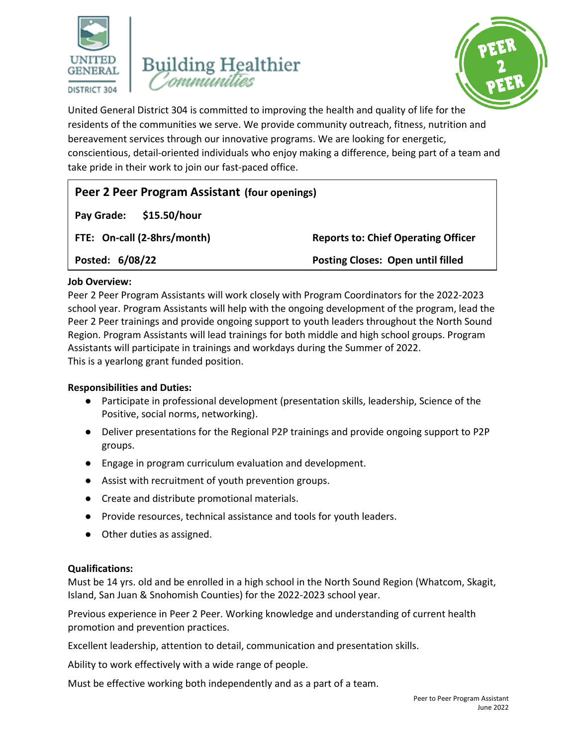





United General District 304 is committed to improving the health and quality of life for the residents of the communities we serve. We provide community outreach, fitness, nutrition and bereavement services through our innovative programs. We are looking for energetic, conscientious, detail-oriented individuals who enjoy making a difference, being part of a team and take pride in their work to join our fast-paced office.

| Peer 2 Peer Program Assistant (four openings) |                                            |
|-----------------------------------------------|--------------------------------------------|
| \$15.50/hour<br>Pay Grade:                    |                                            |
| FTE: On-call (2-8hrs/month)                   | <b>Reports to: Chief Operating Officer</b> |
| Posted: 6/08/22                               | <b>Posting Closes: Open until filled</b>   |

# **Job Overview:**

Peer 2 Peer Program Assistants will work closely with Program Coordinators for the 2022-2023 school year. Program Assistants will help with the ongoing development of the program, lead the Peer 2 Peer trainings and provide ongoing support to youth leaders throughout the North Sound Region. Program Assistants will lead trainings for both middle and high school groups. Program Assistants will participate in trainings and workdays during the Summer of 2022. This is a yearlong grant funded position.

#### **Responsibilities and Duties:**

- Participate in professional development (presentation skills, leadership, Science of the Positive, social norms, networking).
- Deliver presentations for the Regional P2P trainings and provide ongoing support to P2P groups.
- Engage in program curriculum evaluation and development.
- Assist with recruitment of youth prevention groups.
- Create and distribute promotional materials.
- Provide resources, technical assistance and tools for youth leaders.
- Other duties as assigned.

# **Qualifications:**

Must be 14 yrs. old and be enrolled in a high school in the North Sound Region (Whatcom, Skagit, Island, San Juan & Snohomish Counties) for the 2022-2023 school year.

Previous experience in Peer 2 Peer. Working knowledge and understanding of current health promotion and prevention practices.

Excellent leadership, attention to detail, communication and presentation skills.

Ability to work effectively with a wide range of people.

Must be effective working both independently and as a part of a team.